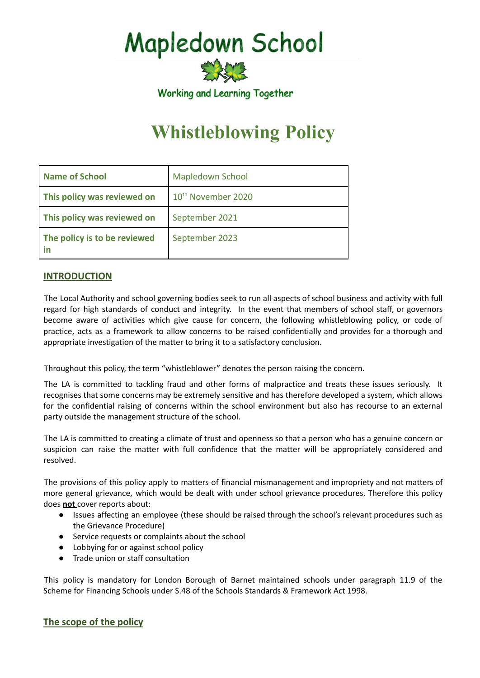**Mapledown School** 



# **Whistleblowing Policy**

| <b>Name of School</b>        | <b>Mapledown School</b>        |
|------------------------------|--------------------------------|
| This policy was reviewed on  | 10 <sup>th</sup> November 2020 |
| This policy was reviewed on  | September 2021                 |
| The policy is to be reviewed | September 2023                 |

# **INTRODUCTION**

The Local Authority and school governing bodies seek to run all aspects of school business and activity with full regard for high standards of conduct and integrity. In the event that members of school staff, or governors become aware of activities which give cause for concern, the following whistleblowing policy, or code of practice, acts as a framework to allow concerns to be raised confidentially and provides for a thorough and appropriate investigation of the matter to bring it to a satisfactory conclusion.

Throughout this policy, the term "whistleblower" denotes the person raising the concern.

The LA is committed to tackling fraud and other forms of malpractice and treats these issues seriously. It recognises that some concerns may be extremely sensitive and has therefore developed a system, which allows for the confidential raising of concerns within the school environment but also has recourse to an external party outside the management structure of the school.

The LA is committed to creating a climate of trust and openness so that a person who has a genuine concern or suspicion can raise the matter with full confidence that the matter will be appropriately considered and resolved.

The provisions of this policy apply to matters of financial mismanagement and impropriety and not matters of more general grievance, which would be dealt with under school grievance procedures. Therefore this policy does **not** cover reports about:

- Issues affecting an employee (these should be raised through the school's relevant procedures such as the Grievance Procedure)
- Service requests or complaints about the school
- Lobbying for or against school policy
- Trade union or staff consultation

This policy is mandatory for London Borough of Barnet maintained schools under paragraph 11.9 of the Scheme for Financing Schools under S.48 of the Schools Standards & Framework Act 1998.

# **The scope of the policy**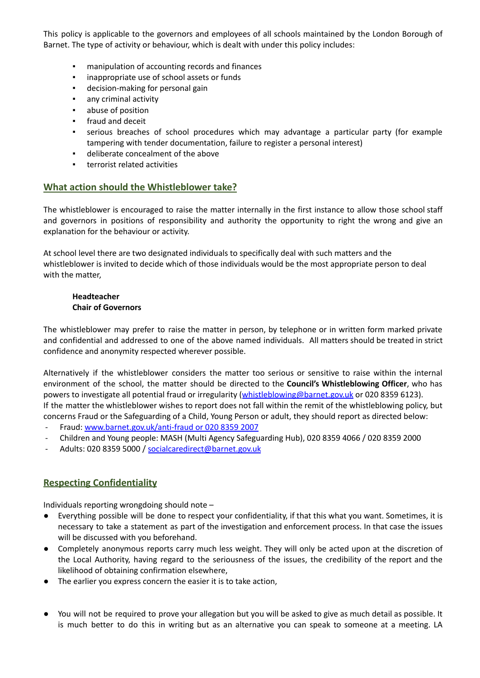This policy is applicable to the governors and employees of all schools maintained by the London Borough of Barnet. The type of activity or behaviour, which is dealt with under this policy includes:

- manipulation of accounting records and finances
- inappropriate use of school assets or funds
- decision-making for personal gain
- any criminal activity
- abuse of position
- fraud and deceit
- serious breaches of school procedures which may advantage a particular party (for example tampering with tender documentation, failure to register a personal interest)
- deliberate concealment of the above
- terrorist related activities

#### **What action should the Whistleblower take?**

The whistleblower is encouraged to raise the matter internally in the first instance to allow those school staff and governors in positions of responsibility and authority the opportunity to right the wrong and give an explanation for the behaviour or activity.

At school level there are two designated individuals to specifically deal with such matters and the whistleblower is invited to decide which of those individuals would be the most appropriate person to deal with the matter,

#### **Headteacher Chair of Governors**

The whistleblower may prefer to raise the matter in person, by telephone or in written form marked private and confidential and addressed to one of the above named individuals. All matters should be treated in strict confidence and anonymity respected wherever possible.

Alternatively if the whistleblower considers the matter too serious or sensitive to raise within the internal environment of the school, the matter should be directed to the **Council's Whistleblowing Officer**, who has powers to investigate all potential fraud or irregularity ([whistleblowing@barnet.gov.uk](mailto:whistleblowing@barnet.gov.uk) or 020 8359 6123). If the matter the whistleblower wishes to report does not fall within the remit of the whistleblowing policy, but concerns Fraud or the Safeguarding of a Child, Young Person or adult, they should report as directed below:

- Fraud: [www.barnet.gov.uk/anti-fraud](http://www.barnet.gov.uk/anti-fraud%20or%20020%208359%202007) or 020 8359 2007
- Children and Young people: MASH (Multi Agency Safeguarding Hub), 020 8359 4066 / 020 8359 2000
- Adults: 020 8359 5000 / [socialcaredirect@barnet.gov.uk](mailto:socialcaredirect@barnet.gov.uk)

# **Respecting Confidentiality**

Individuals reporting wrongdoing should note –

- Everything possible will be done to respect your confidentiality, if that this what you want. Sometimes, it is necessary to take a statement as part of the investigation and enforcement process. In that case the issues will be discussed with you beforehand.
- Completely anonymous reports carry much less weight. They will only be acted upon at the discretion of the Local Authority, having regard to the seriousness of the issues, the credibility of the report and the likelihood of obtaining confirmation elsewhere,
- The earlier you express concern the easier it is to take action,
- You will not be required to prove your allegation but you will be asked to give as much detail as possible. It is much better to do this in writing but as an alternative you can speak to someone at a meeting. LA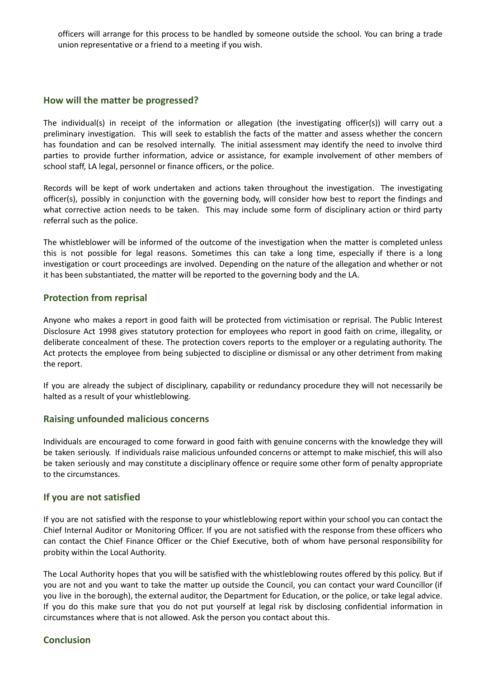officers will arrange for this process to be handled by someone outside the school. You can bring a trade union representative or a friend to a meeting if you wish.

#### **How will the matter be progressed?**

The individual(s) in receipt of the information or allegation (the investigating officer(s)) will carry out a preliminary investigation. This will seek to establish the facts of the matter and assess whether the concern has foundation and can be resolved internally. The initial assessment may identify the need to involve third parties to provide further information, advice or assistance, for example involvement of other members of school staff, LA legal, personnel or finance officers, or the police.

Records will be kept of work undertaken and actions taken throughout the investigation. The investigating officer(s), possibly in conjunction with the governing body, will consider how best to report the findings and what corrective action needs to be taken. This may include some form of disciplinary action or third party referral such as the police.

The whistleblower will be informed of the outcome of the investigation when the matter is completed unless this is not possible for legal reasons. Sometimes this can take a long time, especially if there is a long investigation or court proceedings are involved. Depending on the nature of the allegation and whether or not it has been substantiated, the matter will be reported to the governing body and the LA.

### **Protection from reprisal**

Anyone who makes a report in good faith will be protected from victimisation or reprisal. The Public Interest Disclosure Act 1998 gives statutory protection for employees who report in good faith on crime, illegality, or deliberate concealment of these. The protection covers reports to the employer or a regulating authority. The Act protects the employee from being subjected to discipline or dismissal or any other detriment from making the report.

If you are already the subject of disciplinary, capability or redundancy procedure they will not necessarily be halted as a result of your whistleblowing.

# **Raising unfounded malicious concerns**

Individuals are encouraged to come forward in good faith with genuine concerns with the knowledge they will be taken seriously. If individuals raise malicious unfounded concerns or attempt to make mischief, this will also be taken seriously and may constitute a disciplinary offence or require some other form of penalty appropriate to the circumstances.

#### **If you are not satisfied**

If you are not satisfied with the response to your whistleblowing report within your school you can contact the Chief Internal Auditor or Monitoring Officer. If you are not satisfied with the response from these officers who can contact the Chief Finance Officer or the Chief Executive, both of whom have personal responsibility for probity within the Local Authority.

The Local Authority hopes that you will be satisfied with the whistleblowing routes offered by this policy. But if you are not and you want to take the matter up outside the Council, you can contact your ward Councillor (if you live in the borough), the external auditor, the Department for Education, or the police, or take legal advice. If you do this make sure that you do not put yourself at legal risk by disclosing confidential information in circumstances where that is not allowed. Ask the person you contact about this.

# **Conclusion**